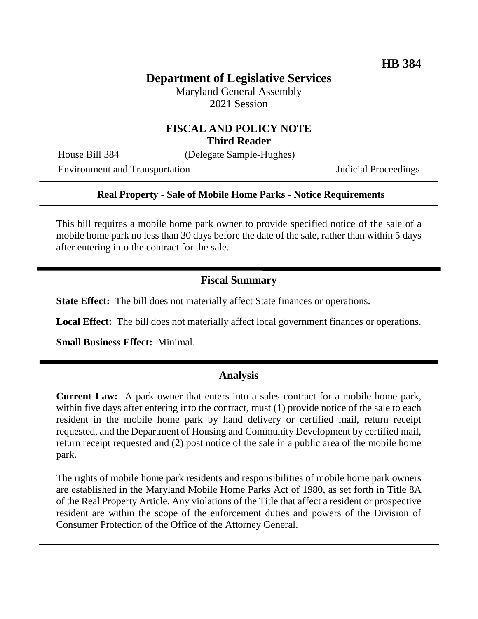# **Department of Legislative Services**

Maryland General Assembly 2021 Session

### **FISCAL AND POLICY NOTE Third Reader**

House Bill 384 (Delegate Sample-Hughes)

Environment and Transportation **Internal Acceptual Proceedings** 

#### **Real Property - Sale of Mobile Home Parks - Notice Requirements**

This bill requires a mobile home park owner to provide specified notice of the sale of a mobile home park no less than 30 days before the date of the sale, rather than within 5 days after entering into the contract for the sale.

### **Fiscal Summary**

**State Effect:** The bill does not materially affect State finances or operations.

**Local Effect:** The bill does not materially affect local government finances or operations.

**Small Business Effect:** Minimal.

#### **Analysis**

**Current Law:** A park owner that enters into a sales contract for a mobile home park, within five days after entering into the contract, must (1) provide notice of the sale to each resident in the mobile home park by hand delivery or certified mail, return receipt requested, and the Department of Housing and Community Development by certified mail, return receipt requested and (2) post notice of the sale in a public area of the mobile home park.

The rights of mobile home park residents and responsibilities of mobile home park owners are established in the Maryland Mobile Home Parks Act of 1980, as set forth in Title 8A of the Real Property Article. Any violations of the Title that affect a resident or prospective resident are within the scope of the enforcement duties and powers of the Division of Consumer Protection of the Office of the Attorney General.